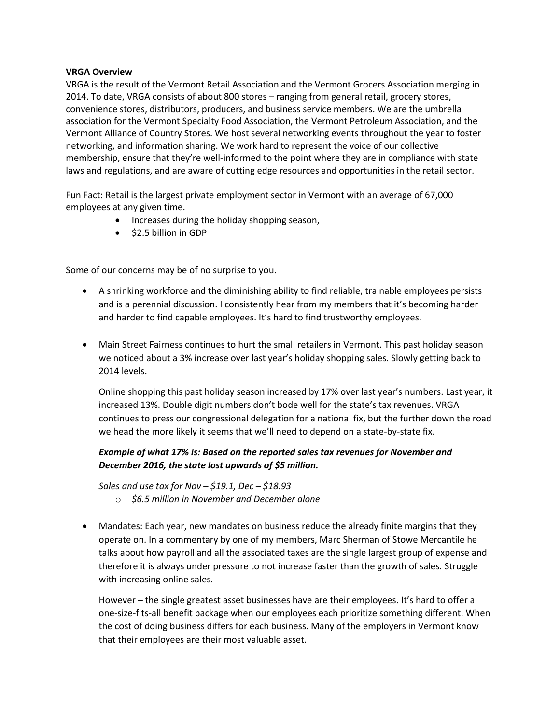## **VRGA Overview**

VRGA is the result of the Vermont Retail Association and the Vermont Grocers Association merging in 2014. To date, VRGA consists of about 800 stores – ranging from general retail, grocery stores, convenience stores, distributors, producers, and business service members. We are the umbrella association for the Vermont Specialty Food Association, the Vermont Petroleum Association, and the Vermont Alliance of Country Stores. We host several networking events throughout the year to foster networking, and information sharing. We work hard to represent the voice of our collective membership, ensure that they're well-informed to the point where they are in compliance with state laws and regulations, and are aware of cutting edge resources and opportunities in the retail sector.

Fun Fact: Retail is the largest private employment sector in Vermont with an average of 67,000 employees at any given time.

- Increases during the holiday shopping season,
- $\bullet$  \$2.5 billion in GDP

Some of our concerns may be of no surprise to you.

- A shrinking workforce and the diminishing ability to find reliable, trainable employees persists and is a perennial discussion. I consistently hear from my members that it's becoming harder and harder to find capable employees. It's hard to find trustworthy employees.
- Main Street Fairness continues to hurt the small retailers in Vermont. This past holiday season we noticed about a 3% increase over last year's holiday shopping sales. Slowly getting back to 2014 levels.

Online shopping this past holiday season increased by 17% over last year's numbers. Last year, it increased 13%. Double digit numbers don't bode well for the state's tax revenues. VRGA continues to press our congressional delegation for a national fix, but the further down the road we head the more likely it seems that we'll need to depend on a state-by-state fix.

## *Example of what 17% is: Based on the reported sales tax revenues for November and December 2016, the state lost upwards of \$5 million.*

*Sales and use tax for Nov – \$19.1, Dec – \$18.93*

- o *\$6.5 million in November and December alone*
- Mandates: Each year, new mandates on business reduce the already finite margins that they operate on. In a commentary by one of my members, Marc Sherman of Stowe Mercantile he talks about how payroll and all the associated taxes are the single largest group of expense and therefore it is always under pressure to not increase faster than the growth of sales. Struggle with increasing online sales.

However – the single greatest asset businesses have are their employees. It's hard to offer a one-size-fits-all benefit package when our employees each prioritize something different. When the cost of doing business differs for each business. Many of the employers in Vermont know that their employees are their most valuable asset.